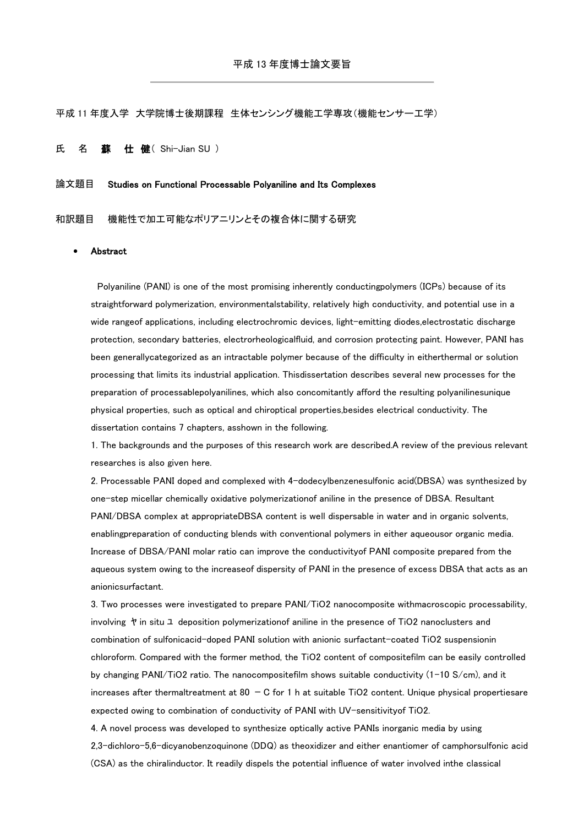平成 11 年度入学 大学院博士後期課程 生体センシング機能工学専攻(機能センサー工学)

氏 名 蘇 仕 健 (Shi-Jian SU)

## 論文題目 Studies on Functional Processable Polyaniline and Its Complexes

和訳題目 機能性で加工可能なポリアニリンとその複合体に関する研究

## Abstract

Polyaniline (PANI) is one of the most promising inherently conductingpolymers (ICPs) because of its straightforward polymerization, environmentalstability, relatively high conductivity, and potential use in a wide rangeof applications, including electrochromic devices, light-emitting diodes,electrostatic discharge protection, secondary batteries, electrorheologicalfluid, and corrosion protecting paint. However, PANI has been generallycategorized as an intractable polymer because of the difficulty in eitherthermal or solution processing that limits its industrial application. Thisdissertation describes several new processes for the preparation of processablepolyanilines, which also concomitantly afford the resulting polyanilinesunique physical properties, such as optical and chiroptical properties,besides electrical conductivity. The dissertation contains 7 chapters, asshown in the following.

1. The backgrounds and the purposes of this research work are described.A review of the previous relevant researches is also given here.

2. Processable PANI doped and complexed with 4-dodecylbenzenesulfonic acid(DBSA) was synthesized by one-step micellar chemically oxidative polymerizationof aniline in the presence of DBSA. Resultant PANI/DBSA complex at appropriateDBSA content is well dispersable in water and in organic solvents, enablingpreparation of conducting blends with conventional polymers in either aqueousor organic media. Increase of DBSA/PANI molar ratio can improve the conductivityof PANI composite prepared from the aqueous system owing to the increaseof dispersity of PANI in the presence of excess DBSA that acts as an anionicsurfactant.

3. Two processes were investigated to prepare PANI/TiO2 nanocomposite withmacroscopic processability, involving ヤ in situ ユ deposition polymerizationof aniline in the presence of TiO2 nanoclusters and combination of sulfonicacid-doped PANI solution with anionic surfactant-coated TiO2 suspensionin chloroform. Compared with the former method, the TiO2 content of compositefilm can be easily controlled by changing PANI/TiO2 ratio. The nanocompositefilm shows suitable conductivity (1-10 S/cm), and it increases after thermaltreatment at  $80 - C$  for 1 h at suitable TiO2 content. Unique physical propertiesare expected owing to combination of conductivity of PANI with UV-sensitivityof TiO2.

4. A novel process was developed to synthesize optically active PANIs inorganic media by using 2,3-dichloro-5,6-dicyanobenzoquinone (DDQ) as theoxidizer and either enantiomer of camphorsulfonic acid (CSA) as the chiralinductor. It readily dispels the potential influence of water involved inthe classical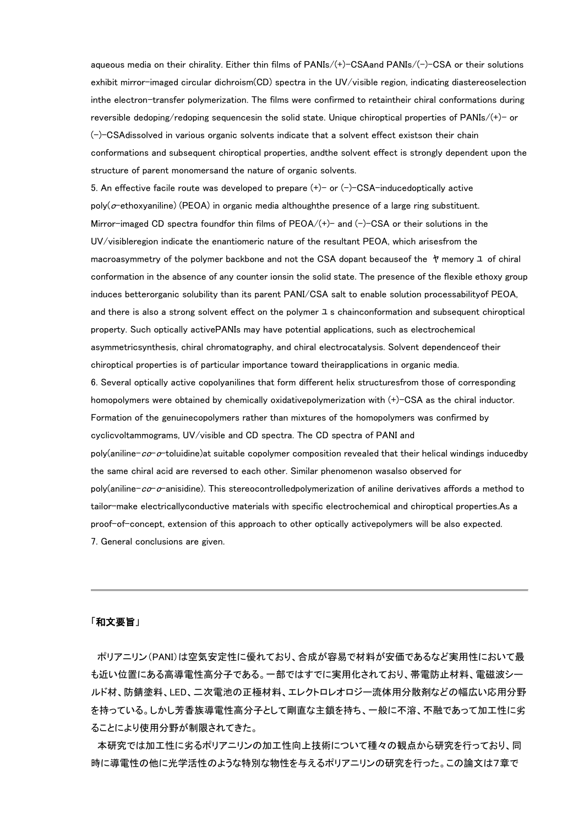aqueous media on their chirality. Either thin films of PANIs/(+)-CSAand PANIs/(-)-CSA or their solutions exhibit mirror-imaged circular dichroism(CD) spectra in the UV/visible region, indicating diastereoselection inthe electron-transfer polymerization. The films were confirmed to retaintheir chiral conformations during reversible dedoping/redoping sequencesin the solid state. Unique chiroptical properties of PANIs/(+)- or  $(-)$ -CSAdissolved in various organic solvents indicate that a solvent effect existson their chain conformations and subsequent chiroptical properties, andthe solvent effect is strongly dependent upon the structure of parent monomersand the nature of organic solvents.

5. An effective facile route was developed to prepare  $(+)-$  or  $(-)$ -CSA-inducedoptically active  $poly(\sigma$ -ethoxyaniline) (PEOA) in organic media althoughthe presence of a large ring substituent. Mirror-imaged CD spectra foundfor thin films of  $PEOA/(+)$  and  $(-)$ -CSA or their solutions in the UV/visibleregion indicate the enantiomeric nature of the resultant PEOA, which arisesfrom the macroasymmetry of the polymer backbone and not the CSA dopant becauseof the ヤ memory ユ of chiral conformation in the absence of any counter ionsin the solid state. The presence of the flexible ethoxy group induces betterorganic solubility than its parent PANI/CSA salt to enable solution processabilityof PEOA, and there is also a strong solvent effect on the polymer ユ s chainconformation and subsequent chiroptical property. Such optically activePANIs may have potential applications, such as electrochemical asymmetricsynthesis, chiral chromatography, and chiral electrocatalysis. Solvent dependenceof their chiroptical properties is of particular importance toward theirapplications in organic media. 6. Several optically active copolyanilines that form different helix structuresfrom those of corresponding homopolymers were obtained by chemically oxidativepolymerization with (+)-CSA as the chiral inductor. Formation of the genuinecopolymers rather than mixtures of the homopolymers was confirmed by cyclicvoltammograms, UV/visible and CD spectra. The CD spectra of PANI and poly(aniline- $c\sigma$ -o-toluidine)at suitable copolymer composition revealed that their helical windings inducedby the same chiral acid are reversed to each other. Similar phenomenon wasalso observed for poly(aniline-co-o-anisidine). This stereocontrolledpolymerization of aniline derivatives affords a method to tailor-make electricallyconductive materials with specific electrochemical and chiroptical properties.As a proof-of-concept, extension of this approach to other optically activepolymers will be also expected. 7. General conclusions are given.

## 「和文要旨」

ポリアニリン(PANI)は空気安定性に優れており、合成が容易で材料が安価であるなど実用性において最 も近い位置にある高導電性高分子である。一部ではすでに実用化されており、帯電防止材料、電磁波シー ルド材、防錆塗料、LED、二次電池の正極材料、エレクトロレオロジー流体用分散剤などの幅広い応用分野 を持っている。しかし芳香族導電性高分子として剛直な主鎖を持ち、一般に不溶、不融であって加工性に劣 ることにより使用分野が制限されてきた。

本研究では加工性に劣るポリアニリンの加工性向上技術について種々の観点から研究を行っており、同 時に導電性の他に光学活性のような特別な物性を与えるポリアニリンの研究を行った。この論文は7章で